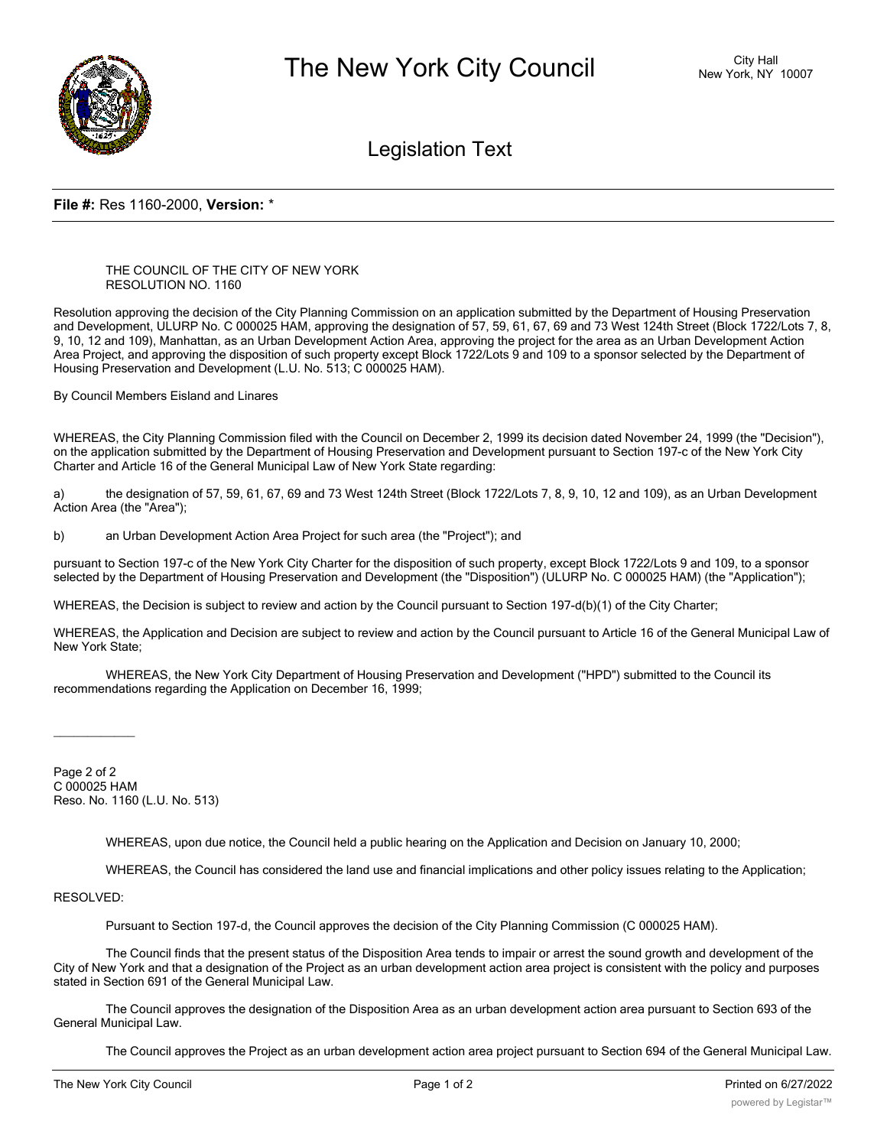

Legislation Text

## **File #:** Res 1160-2000, **Version:** \*

## THE COUNCIL OF THE CITY OF NEW YORK RESOLUTION NO. 1160

Resolution approving the decision of the City Planning Commission on an application submitted by the Department of Housing Preservation and Development, ULURP No. C 000025 HAM, approving the designation of 57, 59, 61, 67, 69 and 73 West 124th Street (Block 1722/Lots 7, 8, 9, 10, 12 and 109), Manhattan, as an Urban Development Action Area, approving the project for the area as an Urban Development Action Area Project, and approving the disposition of such property except Block 1722/Lots 9 and 109 to a sponsor selected by the Department of Housing Preservation and Development (L.U. No. 513; C 000025 HAM).

By Council Members Eisland and Linares

WHEREAS, the City Planning Commission filed with the Council on December 2, 1999 its decision dated November 24, 1999 (the "Decision"), on the application submitted by the Department of Housing Preservation and Development pursuant to Section 197-c of the New York City Charter and Article 16 of the General Municipal Law of New York State regarding:

a) the designation of 57, 59, 61, 67, 69 and 73 West 124th Street (Block 1722/Lots 7, 8, 9, 10, 12 and 109), as an Urban Development Action Area (the "Area");

b) an Urban Development Action Area Project for such area (the "Project"); and

pursuant to Section 197-c of the New York City Charter for the disposition of such property, except Block 1722/Lots 9 and 109, to a sponsor selected by the Department of Housing Preservation and Development (the "Disposition") (ULURP No. C 000025 HAM) (the "Application");

WHEREAS, the Decision is subject to review and action by the Council pursuant to Section 197-d(b)(1) of the City Charter;

WHEREAS, the Application and Decision are subject to review and action by the Council pursuant to Article 16 of the General Municipal Law of New York State;

WHEREAS, the New York City Department of Housing Preservation and Development ("HPD") submitted to the Council its recommendations regarding the Application on December 16, 1999;

Page 2 of 2 C 000025 HAM Reso. No. 1160 (L.U. No. 513)

WHEREAS, upon due notice, the Council held a public hearing on the Application and Decision on January 10, 2000;

WHEREAS, the Council has considered the land use and financial implications and other policy issues relating to the Application;

RESOLVED:

 $\overline{\phantom{a}}$ 

Pursuant to Section 197-d, the Council approves the decision of the City Planning Commission (C 000025 HAM).

The Council finds that the present status of the Disposition Area tends to impair or arrest the sound growth and development of the City of New York and that a designation of the Project as an urban development action area project is consistent with the policy and purposes stated in Section 691 of the General Municipal Law.

The Council approves the designation of the Disposition Area as an urban development action area pursuant to Section 693 of the General Municipal Law.

The Council approves the Project as an urban development action area project pursuant to Section 694 of the General Municipal Law.